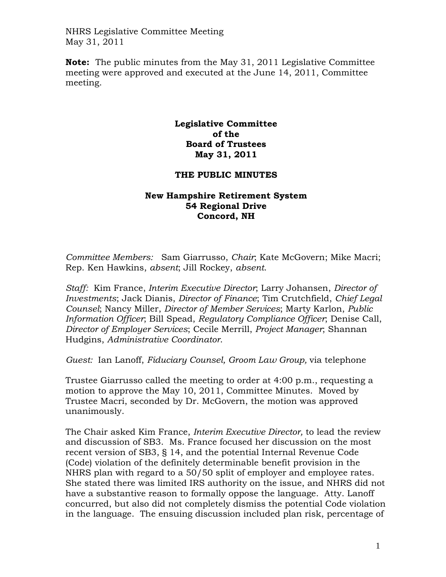**Note:** The public minutes from the May 31, 2011 Legislative Committee meeting were approved and executed at the June 14, 2011, Committee meeting.

## **Legislative Committee of the Board of Trustees May 31, 2011**

## **THE PUBLIC MINUTES**

## **New Hampshire Retirement System 54 Regional Drive Concord, NH**

*Committee Members:* Sam Giarrusso, *Chair*; Kate McGovern; Mike Macri; Rep. Ken Hawkins, *absent*; Jill Rockey, *absent*.

*Staff:* Kim France, *Interim Executive Director*; Larry Johansen, *Director of Investments*; Jack Dianis, *Director of Finance*; Tim Crutchfield, *Chief Legal Counsel*; Nancy Miller, *Director of Member Services*; Marty Karlon, *Public Information Officer*; Bill Spead, *Regulatory Compliance Officer*; Denise Call, *Director of Employer Services*; Cecile Merrill, *Project Manager*; Shannan Hudgins, *Administrative Coordinator*.

*Guest:* Ian Lanoff, *Fiduciary Counsel, Groom Law Group,* via telephone

Trustee Giarrusso called the meeting to order at 4:00 p.m., requesting a motion to approve the May 10, 2011, Committee Minutes. Moved by Trustee Macri, seconded by Dr. McGovern, the motion was approved unanimously.

The Chair asked Kim France, *Interim Executive Director,* to lead the review and discussion of SB3. Ms. France focused her discussion on the most recent version of SB3, § 14, and the potential Internal Revenue Code (Code) violation of the definitely determinable benefit provision in the NHRS plan with regard to a 50/50 split of employer and employee rates. She stated there was limited IRS authority on the issue, and NHRS did not have a substantive reason to formally oppose the language. Atty. Lanoff concurred, but also did not completely dismiss the potential Code violation in the language. The ensuing discussion included plan risk, percentage of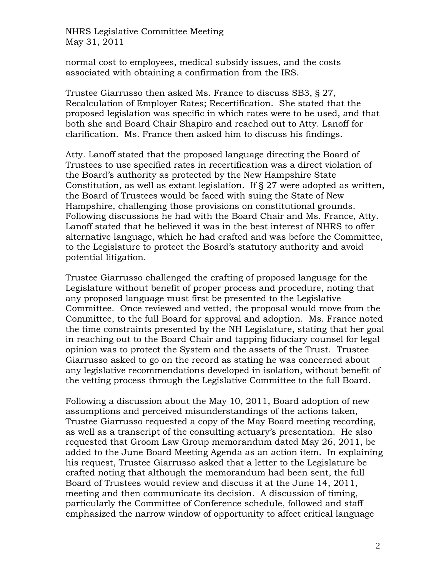normal cost to employees, medical subsidy issues, and the costs associated with obtaining a confirmation from the IRS.

Trustee Giarrusso then asked Ms. France to discuss SB3, § 27, Recalculation of Employer Rates; Recertification. She stated that the proposed legislation was specific in which rates were to be used, and that both she and Board Chair Shapiro and reached out to Atty. Lanoff for clarification. Ms. France then asked him to discuss his findings.

Atty. Lanoff stated that the proposed language directing the Board of Trustees to use specified rates in recertification was a direct violation of the Board's authority as protected by the New Hampshire State Constitution, as well as extant legislation. If § 27 were adopted as written, the Board of Trustees would be faced with suing the State of New Hampshire, challenging those provisions on constitutional grounds. Following discussions he had with the Board Chair and Ms. France, Atty. Lanoff stated that he believed it was in the best interest of NHRS to offer alternative language, which he had crafted and was before the Committee, to the Legislature to protect the Board's statutory authority and avoid potential litigation.

Trustee Giarrusso challenged the crafting of proposed language for the Legislature without benefit of proper process and procedure, noting that any proposed language must first be presented to the Legislative Committee. Once reviewed and vetted, the proposal would move from the Committee, to the full Board for approval and adoption. Ms. France noted the time constraints presented by the NH Legislature, stating that her goal in reaching out to the Board Chair and tapping fiduciary counsel for legal opinion was to protect the System and the assets of the Trust. Trustee Giarrusso asked to go on the record as stating he was concerned about any legislative recommendations developed in isolation, without benefit of the vetting process through the Legislative Committee to the full Board.

Following a discussion about the May 10, 2011, Board adoption of new assumptions and perceived misunderstandings of the actions taken, Trustee Giarrusso requested a copy of the May Board meeting recording, as well as a transcript of the consulting actuary's presentation. He also requested that Groom Law Group memorandum dated May 26, 2011, be added to the June Board Meeting Agenda as an action item. In explaining his request, Trustee Giarrusso asked that a letter to the Legislature be crafted noting that although the memorandum had been sent, the full Board of Trustees would review and discuss it at the June 14, 2011, meeting and then communicate its decision. A discussion of timing, particularly the Committee of Conference schedule, followed and staff emphasized the narrow window of opportunity to affect critical language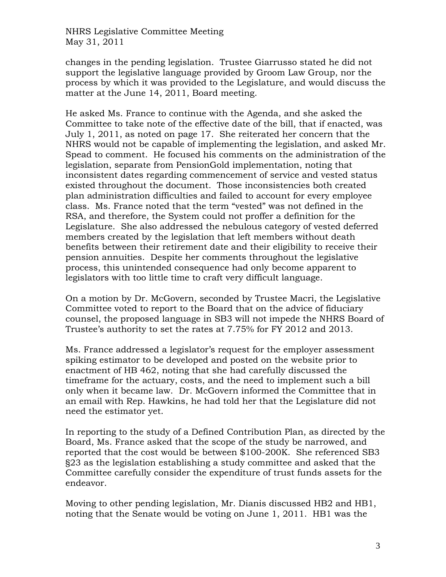changes in the pending legislation. Trustee Giarrusso stated he did not support the legislative language provided by Groom Law Group, nor the process by which it was provided to the Legislature, and would discuss the matter at the June 14, 2011, Board meeting.

He asked Ms. France to continue with the Agenda, and she asked the Committee to take note of the effective date of the bill, that if enacted, was July 1, 2011, as noted on page 17. She reiterated her concern that the NHRS would not be capable of implementing the legislation, and asked Mr. Spead to comment. He focused his comments on the administration of the legislation, separate from PensionGold implementation, noting that inconsistent dates regarding commencement of service and vested status existed throughout the document. Those inconsistencies both created plan administration difficulties and failed to account for every employee class. Ms. France noted that the term "vested" was not defined in the RSA, and therefore, the System could not proffer a definition for the Legislature. She also addressed the nebulous category of vested deferred members created by the legislation that left members without death benefits between their retirement date and their eligibility to receive their pension annuities. Despite her comments throughout the legislative process, this unintended consequence had only become apparent to legislators with too little time to craft very difficult language.

On a motion by Dr. McGovern, seconded by Trustee Macri, the Legislative Committee voted to report to the Board that on the advice of fiduciary counsel, the proposed language in SB3 will not impede the NHRS Board of Trustee's authority to set the rates at 7.75% for FY 2012 and 2013.

Ms. France addressed a legislator's request for the employer assessment spiking estimator to be developed and posted on the website prior to enactment of HB 462, noting that she had carefully discussed the timeframe for the actuary, costs, and the need to implement such a bill only when it became law. Dr. McGovern informed the Committee that in an email with Rep. Hawkins, he had told her that the Legislature did not need the estimator yet.

In reporting to the study of a Defined Contribution Plan, as directed by the Board, Ms. France asked that the scope of the study be narrowed, and reported that the cost would be between \$100-200K. She referenced SB3 §23 as the legislation establishing a study committee and asked that the Committee carefully consider the expenditure of trust funds assets for the endeavor.

Moving to other pending legislation, Mr. Dianis discussed HB2 and HB1, noting that the Senate would be voting on June 1, 2011. HB1 was the